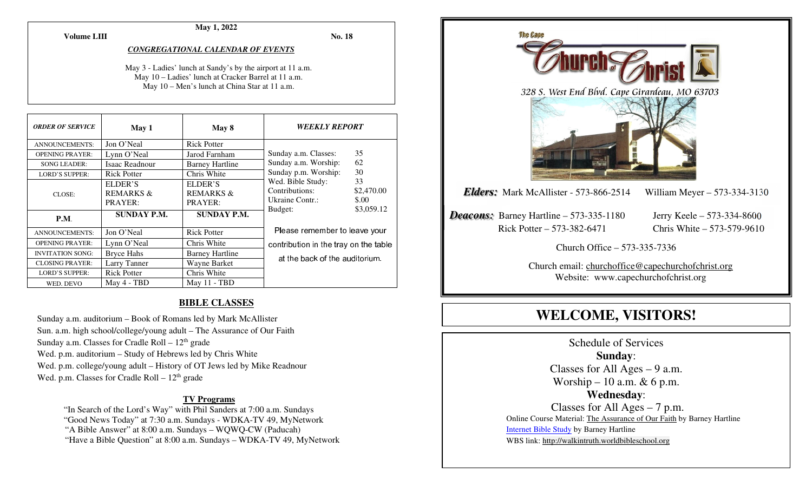**Volume LIII**

### **May 1, 2022**

**No. 18** 

#### *CONGREGATIONAL CALENDAR OF EVENTS*

May 3 - Ladies' lunch at Sandy's by the airport at 11 a.m. May 10 – Ladies' lunch at Cracker Barrel at 11 a.m.May 10 – Men's lunch at China Star at 11 a.m.

| <b>ORDER OF SERVICE</b> | May 1                | May 8                  | <i><b>WEEKLY REPORT</b></i>                                                                                       |            |
|-------------------------|----------------------|------------------------|-------------------------------------------------------------------------------------------------------------------|------------|
| <b>ANNOUNCEMENTS:</b>   | Jon O'Neal           | <b>Rick Potter</b>     |                                                                                                                   |            |
| <b>OPENING PRAYER:</b>  | Lynn O'Neal          | Jarod Farnham          | Sunday a.m. Classes:                                                                                              | 35         |
| <b>SONG LEADER:</b>     | Isaac Readnour       | <b>Barney Hartline</b> | Sunday a.m. Worship:                                                                                              | 62         |
| <b>LORD'S SUPPER:</b>   | <b>Rick Potter</b>   | Chris White            | 30<br>Sunday p.m. Worship:<br>Wed. Bible Study:<br>33<br>Contributions:<br>\$2,470.00<br>Ukraine Contr.:<br>\$.00 |            |
| CLOSE:                  | ELDER'S              | ELDER'S                |                                                                                                                   |            |
|                         | <b>REMARKS &amp;</b> | <b>REMARKS &amp;</b>   |                                                                                                                   |            |
|                         | PRAYER:              | PRAYER:                |                                                                                                                   |            |
| <b>P.M.</b>             | <b>SUNDAY P.M.</b>   | <b>SUNDAY P.M.</b>     | Budget:                                                                                                           | \$3,059.12 |
| <b>ANNOUNCEMENTS:</b>   | Jon O'Neal           | <b>Rick Potter</b>     | Please remember to leave your<br>contribution in the tray on the table<br>at the back of the auditorium.          |            |
| <b>OPENING PRAYER:</b>  | Lynn O'Neal          | Chris White            |                                                                                                                   |            |
| <b>INVITATION SONG:</b> | <b>Bryce Hahs</b>    | <b>Barney Hartline</b> |                                                                                                                   |            |
| <b>CLOSING PRAYER:</b>  | Larry Tanner         | Wayne Barket           |                                                                                                                   |            |
| <b>LORD'S SUPPER:</b>   | <b>Rick Potter</b>   | Chris White            |                                                                                                                   |            |
| WED. DEVO               | May 4 - TBD          | May 11 - TBD           |                                                                                                                   |            |

#### **BIBLE CLASSES**

Sunday a.m. auditorium – Book of Romans led by Mark McAllister Sun. a.m. high school/college/young adult – The Assurance of Our Faith Sunday a.m. Classes for Cradle Roll –  $12<sup>th</sup>$  grade Wed. p.m. auditorium – Study of Hebrews led by Chris White Wed. p.m. college/young adult – History of OT Jews led by Mike Readnour Wed. p.m. Classes for Cradle Roll  $-12<sup>th</sup>$  grade

#### **TV Programs**

"In Search of the Lord's Way" with Phil Sanders at 7:00 a.m. Sundays

"Good News Today" at 7:30 a.m. Sundays - WDKA-TV 49, MyNetwork

"A Bible Answer" at 8:00 a.m. Sundays – WQWQ-CW (Paducah)

"Have a Bible Question" at 8:00 a.m. Sundays – WDKA-TV 49, MyNetwork



# **WELCOME, VISITORS!**

Schedule of Services **Sunday**: Classes for All Ages – 9 a.m. Worship – 10 a.m.  $& 6$  p.m. **Wednesday**: Classes for All Ages – 7 p.m. Online Course Material: The Assurance of Our Faith by Barney Hartline Internet Bible Study by Barney Hartline WBS link: http://walkintruth.worldbibleschool.org